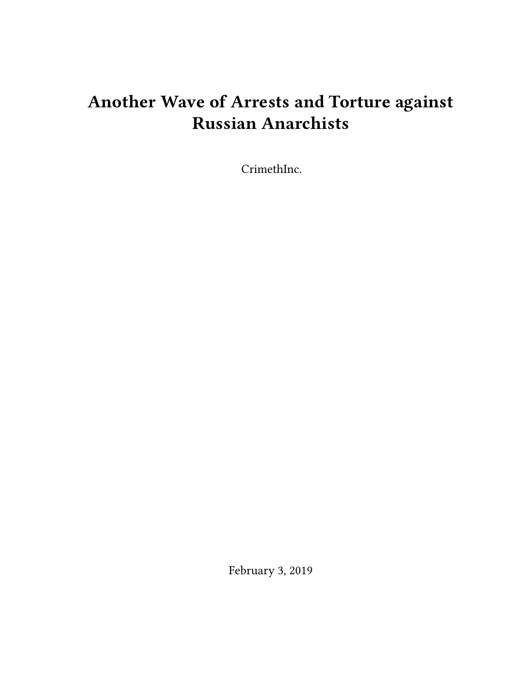## **Another Wave of Arrests and Torture against Russian Anarchists**

CrimethInc.

February 3, 2019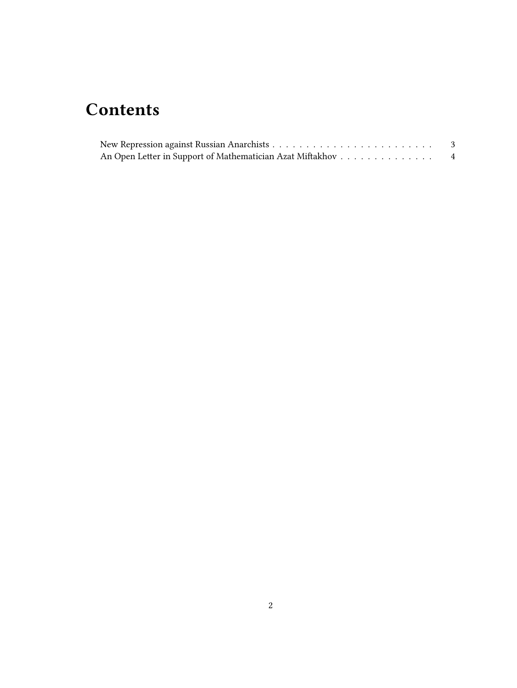## **Contents**

| An Open Letter in Support of Mathematician Azat Miftakhov | $\overline{4}$ |
|-----------------------------------------------------------|----------------|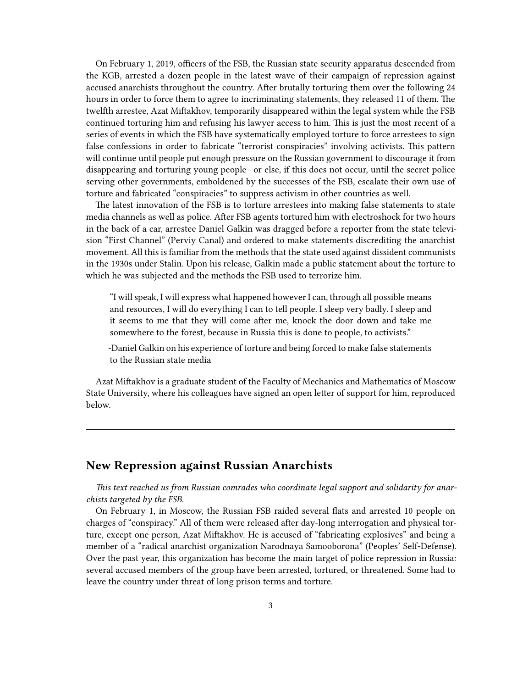On February 1, 2019, officers of the FSB, the Russian state security apparatus descended from the KGB, arrested a dozen people in the latest wave of their campaign of repression against accused anarchists throughout the country. After brutally torturing them over the following 24 hours in order to force them to agree to incriminating statements, they released 11 of them. The twelfth arrestee, Azat Miftakhov, temporarily disappeared within the legal system while the FSB continued torturing him and refusing his lawyer access to him. This is just the most recent of a series of events in which the FSB have systematically employed torture to force arrestees to sign false confessions in order to fabricate "terrorist conspiracies" involving activists. This pattern will continue until people put enough pressure on the Russian government to discourage it from disappearing and torturing young people—or else, if this does not occur, until the secret police serving other governments, emboldened by the successes of the FSB, escalate their own use of torture and fabricated "conspiracies" to suppress activism in other countries as well.

The latest innovation of the FSB is to torture arrestees into making false statements to state media channels as well as police. After FSB agents tortured him with electroshock for two hours in the back of a car, arrestee Daniel Galkin was dragged before a reporter from the state television "First Channel" (Perviy Canal) and ordered to make statements discrediting the anarchist movement. All this is familiar from the methods that the state used against dissident communists in the 1930s under Stalin. Upon his release, Galkin made a public statement about the torture to which he was subjected and the methods the FSB used to terrorize him.

"I will speak, I will express what happened however I can, through all possible means and resources, I will do everything I can to tell people. I sleep very badly. I sleep and it seems to me that they will come after me, knock the door down and take me somewhere to the forest, because in Russia this is done to people, to activists."

-Daniel Galkin on his experience of torture and being forced to make false statements to the Russian state media

Azat Miftakhov is a graduate student of the Faculty of Mechanics and Mathematics of Moscow State University, where his colleagues have signed an open letter of support for him, reproduced below.

## <span id="page-2-0"></span>**New Repression against Russian Anarchists**

*This text reached us from Russian comrades who coordinate legal support and solidarity for anarchists targeted by the FSB.*

On February 1, in Moscow, the Russian FSB raided several flats and arrested 10 people on charges of "conspiracy." All of them were released after day-long interrogation and physical torture, except one person, Azat Miftakhov. He is accused of "fabricating explosives" and being a member of a "radical anarchist organization Narodnaya Samooborona" (Peoples' Self-Defense). Over the past year, this organization has become the main target of police repression in Russia: several accused members of the group have been arrested, tortured, or threatened. Some had to leave the country under threat of long prison terms and torture.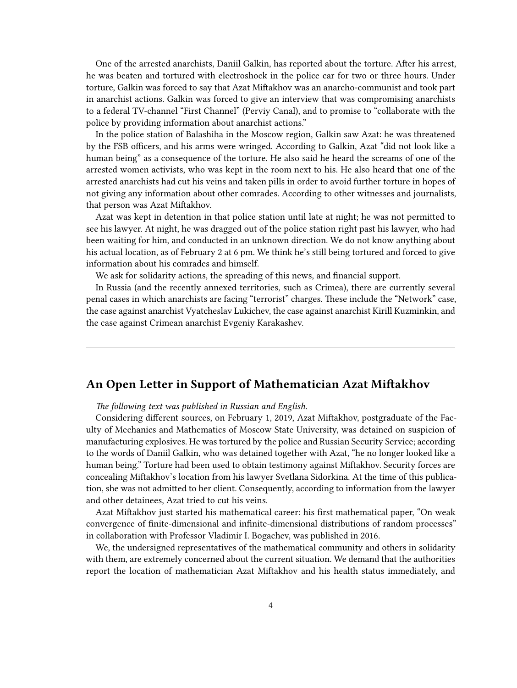One of the arrested anarchists, Daniil Galkin, has reported about the torture. After his arrest, he was beaten and tortured with electroshock in the police car for two or three hours. Under torture, Galkin was forced to say that Azat Miftakhov was an anarcho-communist and took part in anarchist actions. Galkin was forced to give an interview that was compromising anarchists to a federal TV-channel "First Channel" (Perviy Canal), and to promise to "collaborate with the police by providing information about anarchist actions."

In the police station of Balashiha in the Moscow region, Galkin saw Azat: he was threatened by the FSB officers, and his arms were wringed. According to Galkin, Azat "did not look like a human being" as a consequence of the torture. He also said he heard the screams of one of the arrested women activists, who was kept in the room next to his. He also heard that one of the arrested anarchists had cut his veins and taken pills in order to avoid further torture in hopes of not giving any information about other comrades. According to other witnesses and journalists, that person was Azat Miftakhov.

Azat was kept in detention in that police station until late at night; he was not permitted to see his lawyer. At night, he was dragged out of the police station right past his lawyer, who had been waiting for him, and conducted in an unknown direction. We do not know anything about his actual location, as of February 2 at 6 pm. We think he's still being tortured and forced to give information about his comrades and himself.

We ask for solidarity actions, the spreading of this news, and financial support.

In Russia (and the recently annexed territories, such as Crimea), there are currently several penal cases in which anarchists are facing "terrorist" charges. These include the "Network" case, the case against anarchist Vyatcheslav Lukichev, the case against anarchist Kirill Kuzminkin, and the case against Crimean anarchist Evgeniy Karakashev.

## <span id="page-3-0"></span>**An Open Letter in Support of Mathematician Azat Miftakhov**

*The following text was published in Russian and English.*

Considering different sources, on February 1, 2019, Azat Miftakhov, postgraduate of the Faculty of Mechanics and Mathematics of Moscow State University, was detained on suspicion of manufacturing explosives. He was tortured by the police and Russian Security Service; according to the words of Daniil Galkin, who was detained together with Azat, "he no longer looked like a human being." Torture had been used to obtain testimony against Miftakhov. Security forces are concealing Miftakhov's location from his lawyer Svetlana Sidorkina. At the time of this publication, she was not admitted to her client. Consequently, according to information from the lawyer and other detainees, Azat tried to cut his veins.

Azat Miftakhov just started his mathematical career: his first mathematical paper, "On weak convergence of finite-dimensional and infinite-dimensional distributions of random processes" in collaboration with Professor Vladimir I. Bogachev, was published in 2016.

We, the undersigned representatives of the mathematical community and others in solidarity with them, are extremely concerned about the current situation. We demand that the authorities report the location of mathematician Azat Miftakhov and his health status immediately, and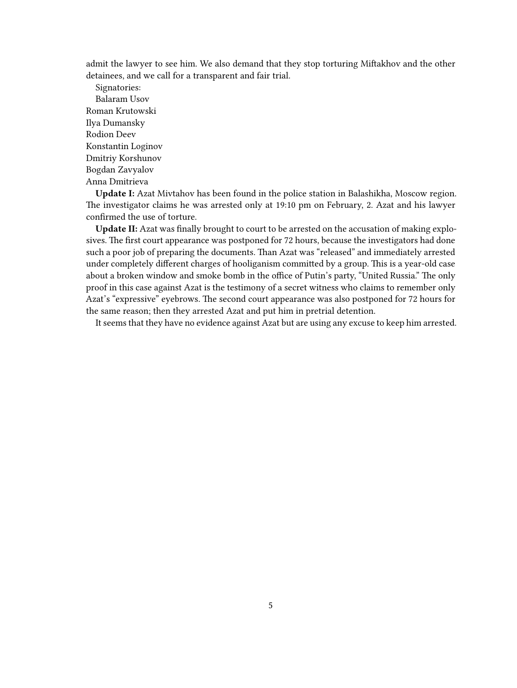admit the lawyer to see him. We also demand that they stop torturing Miftakhov and the other detainees, and we call for a transparent and fair trial.

Signatories: Balaram Usov Roman Krutowski Ilya Dumansky Rodion Deev Konstantin Loginov Dmitriy Korshunov Bogdan Zavyalov Anna Dmitrieva

**Update I:** Azat Mivtahov has been found in the police station in Balashikha, Moscow region. The investigator claims he was arrested only at 19:10 pm on February, 2. Azat and his lawyer confirmed the use of torture.

**Update II:** Azat was finally brought to court to be arrested on the accusation of making explosives. The first court appearance was postponed for 72 hours, because the investigators had done such a poor job of preparing the documents. Than Azat was "released" and immediately arrested under completely different charges of hooliganism committed by a group. This is a year-old case about a broken window and smoke bomb in the office of Putin's party, "United Russia." The only proof in this case against Azat is the testimony of a secret witness who claims to remember only Azat's "expressive" eyebrows. The second court appearance was also postponed for 72 hours for the same reason; then they arrested Azat and put him in pretrial detention.

It seems that they have no evidence against Azat but are using any excuse to keep him arrested.